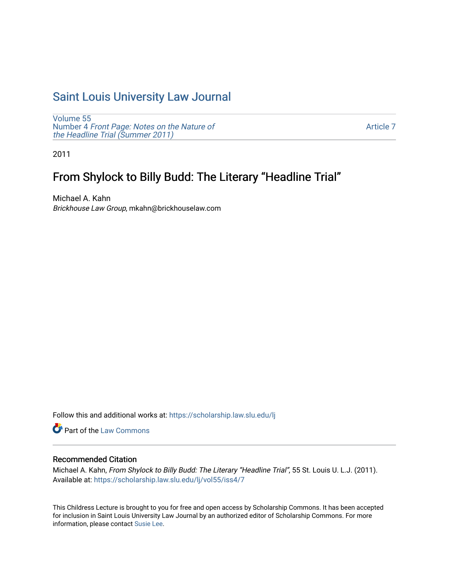## [Saint Louis University Law Journal](https://scholarship.law.slu.edu/lj)

[Volume 55](https://scholarship.law.slu.edu/lj/vol55) Number 4 [Front Page: Notes on the Nature of](https://scholarship.law.slu.edu/lj/vol55/iss4) [the Headline Trial \(Summer 2011\)](https://scholarship.law.slu.edu/lj/vol55/iss4)

[Article 7](https://scholarship.law.slu.edu/lj/vol55/iss4/7) 

2011

# From Shylock to Billy Budd: The Literary "Headline Trial"

Michael A. Kahn Brickhouse Law Group, mkahn@brickhouselaw.com

Follow this and additional works at: [https://scholarship.law.slu.edu/lj](https://scholarship.law.slu.edu/lj?utm_source=scholarship.law.slu.edu%2Flj%2Fvol55%2Fiss4%2F7&utm_medium=PDF&utm_campaign=PDFCoverPages) 

Part of the [Law Commons](http://network.bepress.com/hgg/discipline/578?utm_source=scholarship.law.slu.edu%2Flj%2Fvol55%2Fiss4%2F7&utm_medium=PDF&utm_campaign=PDFCoverPages)

### Recommended Citation

Michael A. Kahn, From Shylock to Billy Budd: The Literary "Headline Trial", 55 St. Louis U. L.J. (2011). Available at: [https://scholarship.law.slu.edu/lj/vol55/iss4/7](https://scholarship.law.slu.edu/lj/vol55/iss4/7?utm_source=scholarship.law.slu.edu%2Flj%2Fvol55%2Fiss4%2F7&utm_medium=PDF&utm_campaign=PDFCoverPages) 

This Childress Lecture is brought to you for free and open access by Scholarship Commons. It has been accepted for inclusion in Saint Louis University Law Journal by an authorized editor of Scholarship Commons. For more information, please contact [Susie Lee](mailto:susie.lee@slu.edu).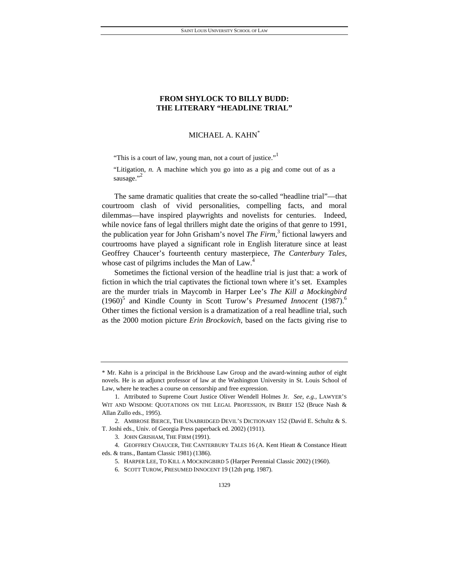### **FROM SHYLOCK TO BILLY BUDD: THE LITERARY "HEADLINE TRIAL"**

### MICHAEL A. KAHN\*

"This is a court of law, young man, not a court of justice."

"Litigation, *n.* A machine which you go into as a pig and come out of as a sausage."<sup>2</sup>

The same dramatic qualities that create the so-called "headline trial"—that courtroom clash of vivid personalities, compelling facts, and moral dilemmas—have inspired playwrights and novelists for centuries. Indeed, while novice fans of legal thrillers might date the origins of that genre to 1991, the publication year for John Grisham's novel *The Firm*, 3 fictional lawyers and courtrooms have played a significant role in English literature since at least Geoffrey Chaucer's fourteenth century masterpiece, *The Canterbury Tales*, whose cast of pilgrims includes the Man of Law.<sup>4</sup>

Sometimes the fictional version of the headline trial is just that: a work of fiction in which the trial captivates the fictional town where it's set. Examples are the murder trials in Maycomb in Harper Lee's *The Kill a Mockingbird* (1960)<sup>5</sup> and Kindle County in Scott Turow's *Presumed Innocent* (1987).<sup>6</sup> Other times the fictional version is a dramatization of a real headline trial, such as the 2000 motion picture *Erin Brockovich*, based on the facts giving rise to

<sup>\*</sup> Mr. Kahn is a principal in the Brickhouse Law Group and the award-winning author of eight novels. He is an adjunct professor of law at the Washington University in St. Louis School of Law, where he teaches a course on censorship and free expression.

 <sup>1.</sup> Attributed to Supreme Court Justice Oliver Wendell Holmes Jr. *See, e.g.*, LAWYER'S WIT AND WISDOM: QUOTATIONS ON THE LEGAL PROFESSION, IN BRIEF 152 (Bruce Nash & Allan Zullo eds., 1995).

 <sup>2.</sup> AMBROSE BIERCE, THE UNABRIDGED DEVIL'S DICTIONARY 152 (David E. Schultz & S. T. Joshi eds., Univ. of Georgia Press paperback ed. 2002) (1911).

 <sup>3.</sup> JOHN GRISHAM, THE FIRM (1991).

 <sup>4.</sup> GEOFFREY CHAUCER, THE CANTERBURY TALES 16 (A. Kent Hieatt & Constance Hieatt eds. & trans., Bantam Classic 1981) (1386).

 <sup>5.</sup> HARPER LEE, TO KILL A MOCKINGBIRD 5 (Harper Perennial Classic 2002) (1960).

 <sup>6.</sup> SCOTT TUROW, PRESUMED INNOCENT 19 (12th prtg. 1987).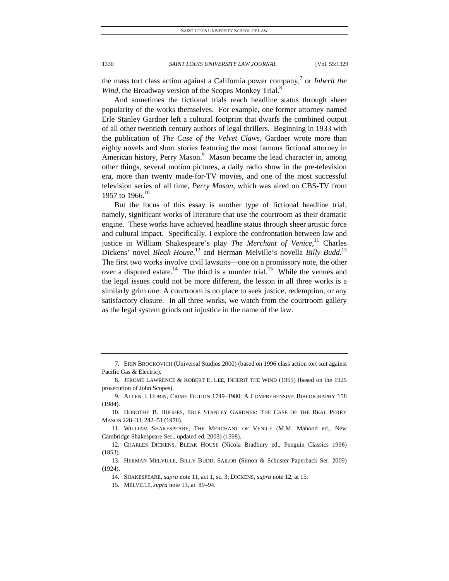the mass tort class action against a California power company,<sup>7</sup> or *Inherit the Wind*, the Broadway version of the Scopes Monkey Trial.<sup>8</sup>

And sometimes the fictional trials reach headline status through sheer popularity of the works themselves. For example, one former attorney named Erle Stanley Gardner left a cultural footprint that dwarfs the combined output of all other twentieth century authors of legal thrillers. Beginning in 1933 with the publication of *The Case of the Velvet Claws*, Gardner wrote more than eighty novels and short stories featuring the most famous fictional attorney in American history, Perry Mason.<sup>9</sup> Mason became the lead character in, among other things, several motion pictures, a daily radio show in the pre-television era, more than twenty made-for-TV movies, and one of the most successful television series of all time, *Perry Mason*, which was aired on CBS-TV from 1957 to 1966.<sup>10</sup>

But the focus of this essay is another type of fictional headline trial, namely, significant works of literature that use the courtroom as their dramatic engine. These works have achieved headline status through sheer artistic force and cultural impact. Specifically, I explore the confrontation between law and justice in William Shakespeare's play *The Merchant of Venice*,<sup>11</sup> Charles Dickens' novel *Bleak House*,<sup>12</sup> and Herman Melville's novella *Billy Budd*.<sup>13</sup> The first two works involve civil lawsuits—one on a promissory note, the other over a disputed estate.<sup>14</sup> The third is a murder trial.<sup>15</sup> While the venues and the legal issues could not be more different, the lesson in all three works is a similarly grim one: A courtroom is no place to seek justice, redemption, or any satisfactory closure. In all three works, we watch from the courtroom gallery as the legal system grinds out injustice in the name of the law.

 <sup>7.</sup> ERIN BROCKOVICH (Universal Studios 2000) (based on 1996 class action tort suit against Pacific Gas & Electric).

 <sup>8.</sup> JEROME LAWRENCE & ROBERT E. LEE, INHERIT THE WIND (1955) (based on the 1925 prosecution of John Scopes).

 <sup>9.</sup> ALLEN J. HUBIN, CRIME FICTION 1749–1980: A COMPREHENSIVE BIBLIOGRAPHY 158 (1984).

 <sup>10.</sup> DOROTHY B. HUGHES, ERLE STANLEY GARDNER: THE CASE OF THE REAL PERRY MASON 228–33, 242–51 (1978).

 <sup>11.</sup> WILLIAM SHAKESPEARE, THE MERCHANT OF VENICE (M.M. Mahood ed., New Cambridge Shakespeare Ser., updated ed. 2003) (1598).

 <sup>12.</sup> CHARLES DICKENS, BLEAK HOUSE (Nicola Bradbury ed., Penguin Classics 1996) (1853).

 <sup>13.</sup> HERMAN MELVILLE, BILLY BUDD, SAILOR (Simon & Schuster Paperback Ser. 2009) (1924).

 <sup>14.</sup> SHAKESPEARE, *supra* note 11, act 1, sc. 3; DICKENS, *supra* note 12, at 15.

 <sup>15.</sup> MELVILLE, *supra* note 13, at 89–94.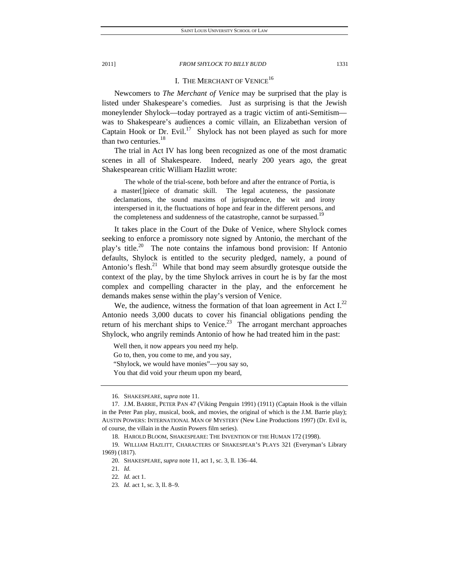## I. THE MERCHANT OF VENICE<sup>16</sup>

Newcomers to *The Merchant of Venice* may be surprised that the play is listed under Shakespeare's comedies. Just as surprising is that the Jewish moneylender Shylock—today portrayed as a tragic victim of anti-Semitism was to Shakespeare's audiences a comic villain, an Elizabethan version of Captain Hook or Dr. Evil.<sup>17</sup> Shylock has not been played as such for more than two centuries.<sup>18</sup>

The trial in Act IV has long been recognized as one of the most dramatic scenes in all of Shakespeare. Indeed, nearly 200 years ago, the great Shakespearean critic William Hazlitt wrote:

 The whole of the trial-scene, both before and after the entrance of Portia, is a master[]piece of dramatic skill. The legal acuteness, the passionate declamations, the sound maxims of jurisprudence, the wit and irony interspersed in it, the fluctuations of hope and fear in the different persons, and the completeness and suddenness of the catastrophe, cannot be surpassed.<sup>1</sup>

It takes place in the Court of the Duke of Venice, where Shylock comes seeking to enforce a promissory note signed by Antonio, the merchant of the play's title.<sup>20</sup> The note contains the infamous bond provision: If Antonio defaults, Shylock is entitled to the security pledged, namely, a pound of Antonio's flesh.<sup>21</sup> While that bond may seem absurdly grotesque outside the context of the play, by the time Shylock arrives in court he is by far the most complex and compelling character in the play, and the enforcement he demands makes sense within the play's version of Venice.

We, the audience, witness the formation of that loan agreement in Act  $I^{22}$ Antonio needs 3,000 ducats to cover his financial obligations pending the return of his merchant ships to Venice.<sup>23</sup> The arrogant merchant approaches Shylock, who angrily reminds Antonio of how he had treated him in the past:

Well then, it now appears you need my help.

Go to, then, you come to me, and you say,

"Shylock, we would have monies"—you say so,

You that did void your rheum upon my beard,

 <sup>16.</sup> SHAKESPEARE, *supra* note 11.

 <sup>17.</sup> J.M. BARRIE, PETER PAN 47 (Viking Penguin 1991) (1911) (Captain Hook is the villain in the Peter Pan play, musical, book, and movies, the original of which is the J.M. Barrie play); AUSTIN POWERS: INTERNATIONAL MAN OF MYSTERY (New Line Productions 1997) (Dr. Evil is, of course, the villain in the Austin Powers film series).

 <sup>18.</sup> HAROLD BLOOM, SHAKESPEARE: THE INVENTION OF THE HUMAN 172 (1998).

 <sup>19.</sup> WILLIAM HAZLITT, CHARACTERS OF SHAKESPEAR'S PLAYS 321 (Everyman's Library 1969) (1817).

 <sup>20.</sup> SHAKESPEARE, *supra* note 11, act 1, sc. 3, ll. 136–44.

<sup>21</sup>*. Id.*

<sup>22</sup>*. Id.* act 1.

<sup>23</sup>*. Id.* act 1, sc. 3, ll. 8–9.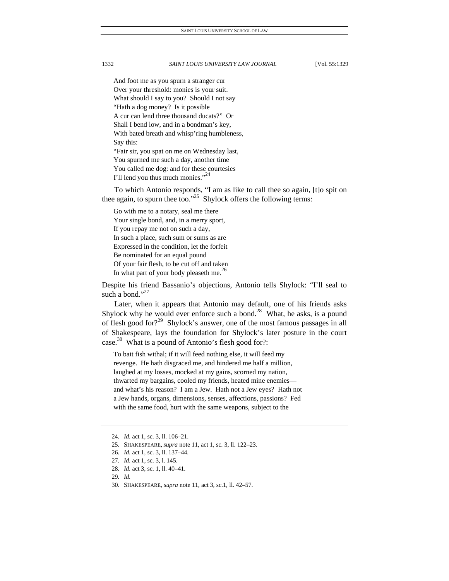And foot me as you spurn a stranger cur Over your threshold: monies is your suit. What should I say to you? Should I not say "Hath a dog money? Is it possible A cur can lend three thousand ducats?" Or Shall I bend low, and in a bondman's key, With bated breath and whisp'ring humbleness, Say this: "Fair sir, you spat on me on Wednesday last, You spurned me such a day, another time You called me dog: and for these courtesies

To which Antonio responds, "I am as like to call thee so again, [t]o spit on thee again, to spurn thee too."<sup>25</sup> Shylock offers the following terms:

Go with me to a notary, seal me there Your single bond, and, in a merry sport, If you repay me not on such a day, In such a place, such sum or sums as are Expressed in the condition, let the forfeit Be nominated for an equal pound Of your fair flesh, to be cut off and taken In what part of your body pleaseth me.<sup>26</sup>

I'll lend you thus much monies."<sup>24</sup>

Despite his friend Bassanio's objections, Antonio tells Shylock: "I'll seal to such a bond."<sup>27</sup>

Later, when it appears that Antonio may default, one of his friends asks Shylock why he would ever enforce such a bond.<sup>28</sup> What, he asks, is a pound of flesh good for?<sup>29</sup> Shylock's answer, one of the most famous passages in all of Shakespeare, lays the foundation for Shylock's later posture in the court case.<sup>30</sup> What is a pound of Antonio's flesh good for?:

To bait fish withal; if it will feed nothing else, it will feed my revenge. He hath disgraced me, and hindered me half a million, laughed at my losses, mocked at my gains, scorned my nation, thwarted my bargains, cooled my friends, heated mine enemies and what's his reason? I am a Jew. Hath not a Jew eyes? Hath not a Jew hands, organs, dimensions, senses, affections, passions? Fed with the same food, hurt with the same weapons, subject to the

30. SHAKESPEARE, *supra* note 11, act 3, sc.1, ll. 42–57.

<sup>24</sup>*. Id.* act 1, sc. 3, ll. 106–21.

 <sup>25.</sup> SHAKESPEARE, *supra* note 11, act 1, sc. 3, ll. 122–23.

<sup>26</sup>*. Id.* act 1, sc. 3, ll. 137–44.

<sup>27</sup>*. Id.* act 1, sc. 3, l. 145.

<sup>28</sup>*. Id.* act 3, sc. 1, ll. 40–41.

<sup>29</sup>*. Id.*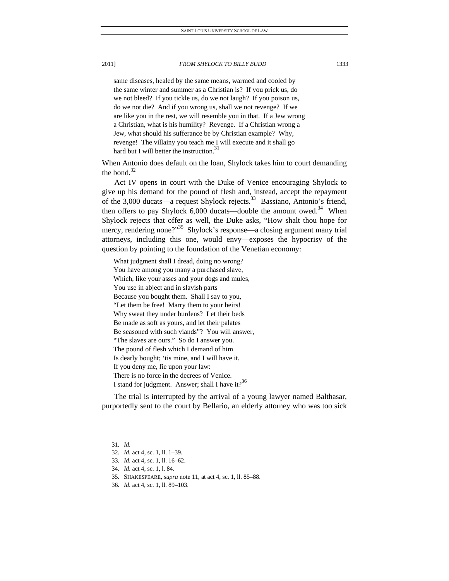same diseases, healed by the same means, warmed and cooled by the same winter and summer as a Christian is? If you prick us, do we not bleed? If you tickle us, do we not laugh? If you poison us, do we not die? And if you wrong us, shall we not revenge? If we are like you in the rest, we will resemble you in that. If a Jew wrong a Christian, what is his humility? Revenge. If a Christian wrong a

Jew, what should his sufferance be by Christian example? Why, revenge! The villainy you teach me I will execute and it shall go hard but I will better the instruction.<sup>31</sup>

When Antonio does default on the loan, Shylock takes him to court demanding the bond. $32$ 

Act IV opens in court with the Duke of Venice encouraging Shylock to give up his demand for the pound of flesh and, instead, accept the repayment of the 3,000 ducats—a request Shylock rejects.<sup>33</sup> Bassiano, Antonio's friend, then offers to pay Shylock  $6,000$  ducats—double the amount owed.<sup>34</sup> When Shylock rejects that offer as well, the Duke asks, "How shalt thou hope for mercy, rendering none?"<sup>35</sup> Shylock's response—a closing argument many trial attorneys, including this one, would envy—exposes the hypocrisy of the question by pointing to the foundation of the Venetian economy:

What judgment shall I dread, doing no wrong? You have among you many a purchased slave, Which, like your asses and your dogs and mules, You use in abject and in slavish parts Because you bought them. Shall I say to you, "Let them be free! Marry them to your heirs! Why sweat they under burdens? Let their beds Be made as soft as yours, and let their palates Be seasoned with such viands"? You will answer, "The slaves are ours." So do I answer you. The pound of flesh which I demand of him Is dearly bought; 'tis mine, and I will have it. If you deny me, fie upon your law: There is no force in the decrees of Venice. I stand for judgment. Answer; shall I have it?<sup>36</sup>

The trial is interrupted by the arrival of a young lawyer named Balthasar, purportedly sent to the court by Bellario, an elderly attorney who was too sick

<sup>31</sup>*. Id.*

<sup>32</sup>*. Id.* act 4, sc. 1, ll. 1–39.

<sup>33</sup>*. Id.* act 4, sc. 1, ll. 16–62.

<sup>34</sup>*. Id.* act 4, sc. 1, l. 84.

 <sup>35.</sup> SHAKESPEARE*, supra* note 11, at act 4, sc. 1, ll. 85–88.

<sup>36</sup>*. Id.* act 4, sc. 1, ll. 89–103.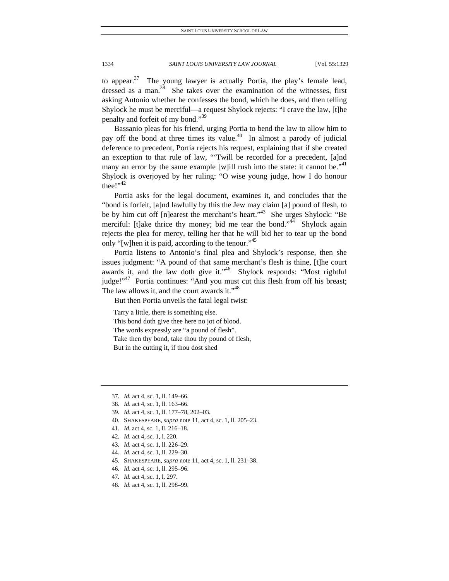to appear. $37$  The young lawyer is actually Portia, the play's female lead, dressed as a man.<sup>38</sup> She takes over the examination of the witnesses, first asking Antonio whether he confesses the bond, which he does, and then telling Shylock he must be merciful—a request Shylock rejects: "I crave the law, [t]he penalty and forfeit of my bond."<sup>39</sup>

Bassanio pleas for his friend, urging Portia to bend the law to allow him to pay off the bond at three times its value.<sup>40</sup> In almost a parody of judicial deference to precedent, Portia rejects his request, explaining that if she created an exception to that rule of law, "'Twill be recorded for a precedent, [a]nd many an error by the same example [w]ill rush into the state: it cannot be.<sup> $,41$ </sup> Shylock is overjoyed by her ruling: "O wise young judge, how I do honour thee!" $42$ 

Portia asks for the legal document, examines it, and concludes that the "bond is forfeit, [a]nd lawfully by this the Jew may claim [a] pound of flesh, to be by him cut off [n]earest the merchant's heart."<sup>43</sup> She urges Shylock: "Be merciful: [t]ake thrice thy money; bid me tear the bond."<sup>44</sup> Shylock again rejects the plea for mercy, telling her that he will bid her to tear up the bond only "[w]hen it is paid, according to the tenour."<sup>45</sup>

Portia listens to Antonio's final plea and Shylock's response, then she issues judgment: "A pound of that same merchant's flesh is thine, [t]he court awards it, and the law doth give it."<sup>46</sup> Shylock responds: "Most rightful judge!"<sup>47</sup> Portia continues: "And you must cut this flesh from off his breast; The law allows it, and the court awards it."<sup>48</sup>

But then Portia unveils the fatal legal twist:

Tarry a little, there is something else.

This bond doth give thee here no jot of blood. The words expressly are "a pound of flesh". Take then thy bond, take thou thy pound of flesh, But in the cutting it, if thou dost shed

- 40. SHAKESPEARE, *supra* note 11, act 4, sc. 1, ll. 205–23.
- 41*. Id.* act 4, sc. 1, ll. 216–18.
- 42*. Id.* act 4, sc. 1, l. 220.
- 43*. Id.* act 4, sc. 1, ll. 226–29.
- 44*. Id.* act 4, sc. 1, ll. 229–30.
- 45. SHAKESPEARE, *supra* note 11, act 4, sc. 1, ll. 231–38.
- 46*. Id.* act 4, sc. 1, ll. 295–96.
- 47*. Id.* act 4, sc. 1, l. 297.
- 48*. Id.* act 4, sc. 1, ll. 298–99.

<sup>37</sup>*. Id.* act 4, sc. 1, ll. 149–66.

<sup>38</sup>*. Id.* act 4, sc. 1, ll. 163–66.

<sup>39</sup>*. Id.* act 4, sc. 1, ll. 177–78, 202–03.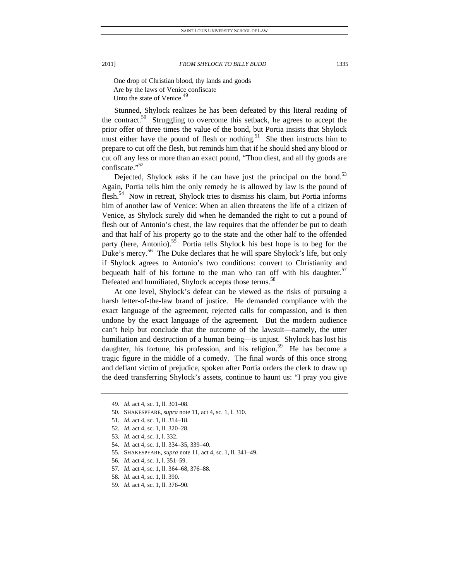One drop of Christian blood, thy lands and goods Are by the laws of Venice confiscate Unto the state of Venice.<sup>49</sup>

Stunned, Shylock realizes he has been defeated by this literal reading of the contract.<sup>50</sup> Struggling to overcome this setback, he agrees to accept the prior offer of three times the value of the bond, but Portia insists that Shylock must either have the pound of flesh or nothing.<sup>51</sup> She then instructs him to prepare to cut off the flesh, but reminds him that if he should shed any blood or cut off any less or more than an exact pound, "Thou diest, and all thy goods are confiscate."<sup>52</sup>

Dejected, Shylock asks if he can have just the principal on the bond.<sup>53</sup> Again, Portia tells him the only remedy he is allowed by law is the pound of flesh.<sup>54</sup> Now in retreat, Shylock tries to dismiss his claim, but Portia informs him of another law of Venice: When an alien threatens the life of a citizen of Venice, as Shylock surely did when he demanded the right to cut a pound of flesh out of Antonio's chest, the law requires that the offender be put to death and that half of his property go to the state and the other half to the offended party (here, Antonio).<sup>55</sup> Portia tells Shylock his best hope is to beg for the Duke's mercy.<sup>56</sup> The Duke declares that he will spare Shylock's life, but only if Shylock agrees to Antonio's two conditions: convert to Christianity and bequeath half of his fortune to the man who ran off with his daughter.<sup>57</sup> Defeated and humiliated, Shylock accepts those terms.<sup>58</sup>

At one level, Shylock's defeat can be viewed as the risks of pursuing a harsh letter-of-the-law brand of justice. He demanded compliance with the exact language of the agreement, rejected calls for compassion, and is then undone by the exact language of the agreement. But the modern audience can't help but conclude that the outcome of the lawsuit—namely, the utter humiliation and destruction of a human being—is unjust. Shylock has lost his daughter, his fortune, his profession, and his religion.<sup>59</sup> He has become a tragic figure in the middle of a comedy. The final words of this once strong and defiant victim of prejudice, spoken after Portia orders the clerk to draw up the deed transferring Shylock's assets, continue to haunt us: "I pray you give

- 55. SHAKESPEARE, *supra* note 11, act 4, sc. 1, ll. 341–49.
- 56*. Id.* act 4, sc. 1, l. 351–59.
- 57*. Id.* act 4, sc. 1, ll. 364–68, 376–88.
- 58*. Id.* act 4, sc. 1, ll. 390.
- 59*. Id.* act 4, sc. 1, ll. 376–90.

<sup>49</sup>*. Id.* act 4, sc. 1, ll. 301–08.

 <sup>50.</sup> SHAKESPEARE, *supra* note 11, act 4, sc. 1, l. 310.

<sup>51</sup>*. Id.* act 4, sc. 1, ll. 314–18.

<sup>52</sup>*. Id.* act 4, sc. 1, ll. 320–28.

<sup>53</sup>*. Id.* act 4, sc. 1, l. 332.

<sup>54</sup>*. Id.* act 4, sc. 1, ll. 334–35, 339–40.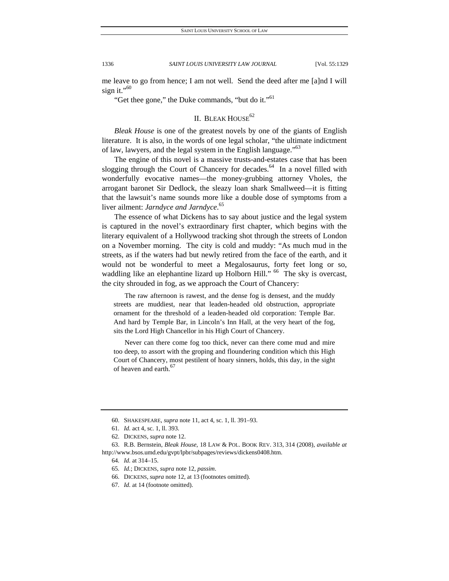me leave to go from hence; I am not well. Send the deed after me [a]nd I will sign it."<sup>60</sup>

"Get thee gone," the Duke commands, "but do it."<sup>61</sup>

### II. BLEAK HOUSE $62$

*Bleak House* is one of the greatest novels by one of the giants of English literature. It is also, in the words of one legal scholar, "the ultimate indictment of law, lawyers, and the legal system in the English language."<sup>63</sup>

The engine of this novel is a massive trusts-and-estates case that has been slogging through the Court of Chancery for decades.<sup>64</sup> In a novel filled with wonderfully evocative names—the money-grubbing attorney Vholes, the arrogant baronet Sir Dedlock, the sleazy loan shark Smallweed—it is fitting that the lawsuit's name sounds more like a double dose of symptoms from a liver ailment: *Jarndyce and Jarndyce*. 65

The essence of what Dickens has to say about justice and the legal system is captured in the novel's extraordinary first chapter, which begins with the literary equivalent of a Hollywood tracking shot through the streets of London on a November morning. The city is cold and muddy: "As much mud in the streets, as if the waters had but newly retired from the face of the earth, and it would not be wonderful to meet a Megalosaurus, forty feet long or so, waddling like an elephantine lizard up Holborn Hill." <sup>66</sup> The sky is overcast, the city shrouded in fog, as we approach the Court of Chancery:

 The raw afternoon is rawest, and the dense fog is densest, and the muddy streets are muddiest, near that leaden-headed old obstruction, appropriate ornament for the threshold of a leaden-headed old corporation: Temple Bar. And hard by Temple Bar, in Lincoln's Inn Hall, at the very heart of the fog, sits the Lord High Chancellor in his High Court of Chancery.

 Never can there come fog too thick, never can there come mud and mire too deep, to assort with the groping and floundering condition which this High Court of Chancery, most pestilent of hoary sinners, holds, this day, in the sight of heaven and earth.<sup>67</sup>

 <sup>60.</sup> SHAKESPEARE, *supra* note 11, act 4, sc. 1, ll. 391–93.

<sup>61</sup>*. Id.* act 4, sc. 1, ll. 393.

 <sup>62.</sup> DICKENS, *supra* note 12.

 <sup>63.</sup> R.B. Bernstein, *Bleak House*, 18 LAW & POL. BOOK REV. 313, 314 (2008), *available at* http://www.bsos.umd.edu/gvpt/lpbr/subpages/reviews/dickens0408.htm.

<sup>64</sup>*. Id.* at 314–15.

<sup>65</sup>*. Id.*; DICKENS, *supra* note 12, *passim*.

 <sup>66.</sup> DICKENS, *supra* note 12, at 13 (footnotes omitted).

<sup>67</sup>*. Id.* at 14 (footnote omitted).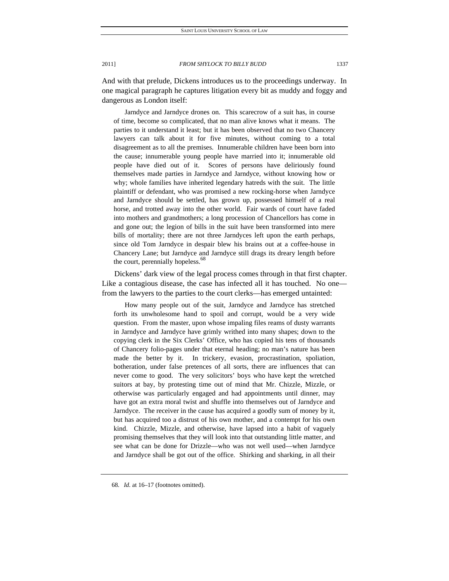And with that prelude, Dickens introduces us to the proceedings underway. In one magical paragraph he captures litigation every bit as muddy and foggy and dangerous as London itself:

 Jarndyce and Jarndyce drones on. This scarecrow of a suit has, in course of time, become so complicated, that no man alive knows what it means. The parties to it understand it least; but it has been observed that no two Chancery lawyers can talk about it for five minutes, without coming to a total disagreement as to all the premises. Innumerable children have been born into the cause; innumerable young people have married into it; innumerable old people have died out of it. Scores of persons have deliriously found themselves made parties in Jarndyce and Jarndyce, without knowing how or why; whole families have inherited legendary hatreds with the suit. The little plaintiff or defendant, who was promised a new rocking-horse when Jarndyce and Jarndyce should be settled, has grown up, possessed himself of a real horse, and trotted away into the other world. Fair wards of court have faded into mothers and grandmothers; a long procession of Chancellors has come in and gone out; the legion of bills in the suit have been transformed into mere bills of mortality; there are not three Jarndyces left upon the earth perhaps, since old Tom Jarndyce in despair blew his brains out at a coffee-house in Chancery Lane; but Jarndyce and Jarndyce still drags its dreary length before the court, perennially hopeless.<sup>68</sup>

Dickens' dark view of the legal process comes through in that first chapter. Like a contagious disease, the case has infected all it has touched. No one from the lawyers to the parties to the court clerks—has emerged untainted:

 How many people out of the suit, Jarndyce and Jarndyce has stretched forth its unwholesome hand to spoil and corrupt, would be a very wide question. From the master, upon whose impaling files reams of dusty warrants in Jarndyce and Jarndyce have grimly writhed into many shapes; down to the copying clerk in the Six Clerks' Office, who has copied his tens of thousands of Chancery folio-pages under that eternal heading; no man's nature has been made the better by it. In trickery, evasion, procrastination, spoliation, botheration, under false pretences of all sorts, there are influences that can never come to good. The very solicitors' boys who have kept the wretched suitors at bay, by protesting time out of mind that Mr. Chizzle, Mizzle, or otherwise was particularly engaged and had appointments until dinner, may have got an extra moral twist and shuffle into themselves out of Jarndyce and Jarndyce. The receiver in the cause has acquired a goodly sum of money by it, but has acquired too a distrust of his own mother, and a contempt for his own kind. Chizzle, Mizzle, and otherwise, have lapsed into a habit of vaguely promising themselves that they will look into that outstanding little matter, and see what can be done for Drizzle—who was not well used—when Jarndyce and Jarndyce shall be got out of the office. Shirking and sharking, in all their

<sup>68</sup>*. Id.* at 16–17 (footnotes omitted).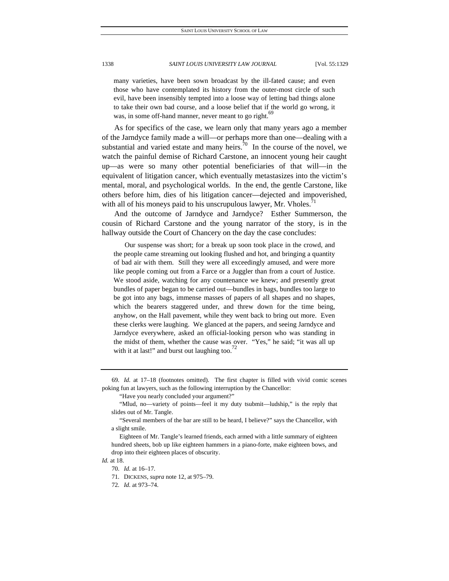many varieties, have been sown broadcast by the ill-fated cause; and even those who have contemplated its history from the outer-most circle of such evil, have been insensibly tempted into a loose way of letting bad things alone to take their own bad course, and a loose belief that if the world go wrong, it was, in some off-hand manner, never meant to go right.<sup>69</sup>

As for specifics of the case, we learn only that many years ago a member of the Jarndyce family made a will—or perhaps more than one—dealing with a substantial and varied estate and many heirs. $\bar{7}^0$  In the course of the novel, we watch the painful demise of Richard Carstone, an innocent young heir caught up—as were so many other potential beneficiaries of that will—in the equivalent of litigation cancer, which eventually metastasizes into the victim's mental, moral, and psychological worlds. In the end, the gentle Carstone, like others before him, dies of his litigation cancer—dejected and impoverished, with all of his moneys paid to his unscrupulous lawyer, Mr. Vholes. $11$ 

And the outcome of Jarndyce and Jarndyce? Esther Summerson, the cousin of Richard Carstone and the young narrator of the story, is in the hallway outside the Court of Chancery on the day the case concludes:

 Our suspense was short; for a break up soon took place in the crowd, and the people came streaming out looking flushed and hot, and bringing a quantity of bad air with them. Still they were all exceedingly amused, and were more like people coming out from a Farce or a Juggler than from a court of Justice. We stood aside, watching for any countenance we knew; and presently great bundles of paper began to be carried out—bundles in bags, bundles too large to be got into any bags, immense masses of papers of all shapes and no shapes, which the bearers staggered under, and threw down for the time being, anyhow, on the Hall pavement, while they went back to bring out more. Even these clerks were laughing. We glanced at the papers, and seeing Jarndyce and Jarndyce everywhere, asked an official-looking person who was standing in the midst of them, whether the cause was over. "Yes," he said; "it was all up with it at last!" and burst out laughing too. $12$ 

 "Mlud, no—variety of points—feel it my duty tsubmit—ludship," is the reply that slides out of Mr. Tangle.

70. *Id.* at 16–17.

<sup>69</sup>*. Id.* at 17–18 (footnotes omitted). The first chapter is filled with vivid comic scenes poking fun at lawyers, such as the following interruption by the Chancellor:

 <sup>&</sup>quot;Have you nearly concluded your argument?"

 <sup>&</sup>quot;Several members of the bar are still to be heard, I believe?" says the Chancellor, with a slight smile.

Eighteen of Mr. Tangle's learned friends, each armed with a little summary of eighteen hundred sheets, bob up like eighteen hammers in a piano-forte, make eighteen bows, and drop into their eighteen places of obscurity.

*Id.* at 18.

<sup>71</sup>*.* DICKENS, *supra* note 12, at 975–79.

<sup>72</sup>*. Id.* at 973–74.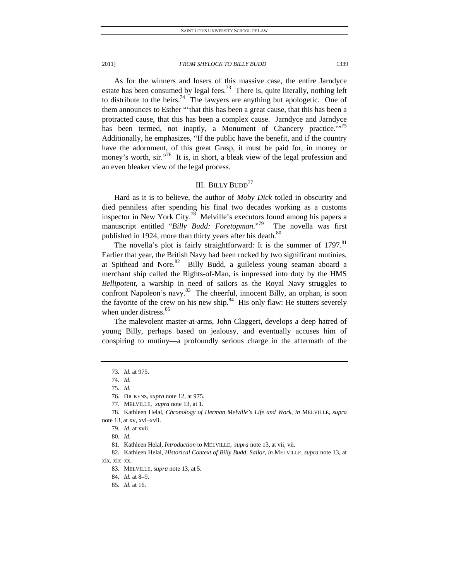As for the winners and losers of this massive case, the entire Jarndyce estate has been consumed by legal fees.<sup>73</sup> There is, quite literally, nothing left to distribute to the heirs.<sup>74</sup> The lawyers are anything but apologetic. One of them announces to Esther "'that this has been a great cause, that this has been a protracted cause, that this has been a complex cause. Jarndyce and Jarndyce has been termed, not inaptly, a Monument of Chancery practice."<sup>75</sup> Additionally, he emphasizes, "If the public have the benefit, and if the country have the adornment, of this great Grasp, it must be paid for, in money or money's worth, sir."<sup>76</sup> It is, in short, a bleak view of the legal profession and an even bleaker view of the legal process.

### III. BILLY BUDD $^{77}$

Hard as it is to believe, the author of *Moby Dick* toiled in obscurity and died penniless after spending his final two decades working as a customs inspector in New York City.78 Melville's executors found among his papers a manuscript entitled "*Billy Budd: Foretopman*."79 The novella was first published in 1924, more than thirty years after his death.<sup>80</sup>

The novella's plot is fairly straightforward: It is the summer of 1797.<sup>81</sup> Earlier that year, the British Navy had been rocked by two significant mutinies, at Spithead and Nore.<sup>82</sup> Billy Budd, a guileless young seaman aboard a merchant ship called the Rights-of-Man, is impressed into duty by the HMS *Bellipotent*, a warship in need of sailors as the Royal Navy struggles to confront Napoleon's navy.<sup>83</sup> The cheerful, innocent Billy, an orphan, is soon the favorite of the crew on his new ship. $84$  His only flaw: He stutters severely when under distress. $85$ 

The malevolent master-at-arms, John Claggert, develops a deep hatred of young Billy, perhaps based on jealousy, and eventually accuses him of conspiring to mutiny—a profoundly serious charge in the aftermath of the

<sup>73</sup>*. Id.* at 975.

<sup>74</sup>*. Id.*

 <sup>75.</sup> *Id.*

<sup>76</sup>*.* DICKENS, *supra* note 12, at 975.

 <sup>77.</sup> MELVILLE, *supra* note 13, at 1.

 <sup>78.</sup> Kathleen Helal, *Chronology of Herman Melville's Life and Work*, *in* MELVILLE, *supra* note 13, at xv, xvi–xvii.

<sup>79</sup>*. Id.* at xvii.

<sup>80</sup>*. Id.*

 <sup>81.</sup> Kathleen Helal, *Introduction* to MELVILLE, *supra* note 13, at vii, vii.

 <sup>82.</sup> Kathleen Helal, *Historical Context of Billy Budd, Sailor*, *in* MELVILLE, *supra* note 13, at xix, xix–xx.

 <sup>83.</sup> MELVILLE, *supra* note 13, at 5.

<sup>84</sup>*. Id.* at 8–9.

<sup>85</sup>*. Id.* at 16.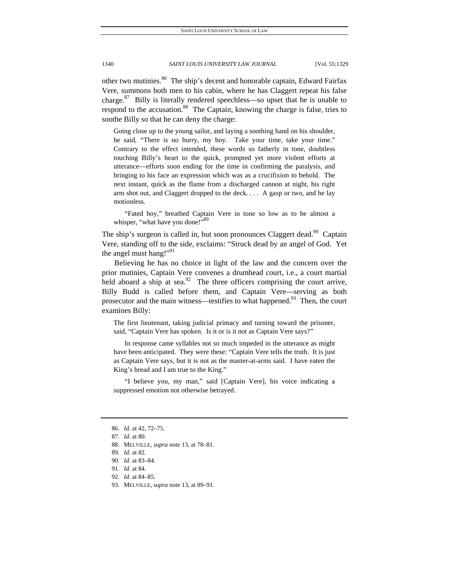other two mutinies.<sup>86</sup> The ship's decent and honorable captain, Edward Fairfax Vere, summons both men to his cabin, where he has Claggert repeat his false charge. $87$  Billy is literally rendered speechless—so upset that he is unable to respond to the accusation.<sup>88</sup> The Captain, knowing the charge is false, tries to soothe Billy so that he can deny the charge:

Going close up to the young sailor, and laying a soothing hand on his shoulder, he said, "There is no hurry, my boy. Take your time, take your time." Contrary to the effect intended, these words so fatherly in tone, doubtless touching Billy's heart to the quick, prompted yet more violent efforts at utterance—efforts soon ending for the time in confirming the paralysis, and bringing to his face an expression which was as a crucifixion to behold. The next instant, quick as the flame from a discharged cannon at night, his right arm shot out, and Claggert dropped to the deck. . . . A gasp or two, and he lay motionless.

 "Fated boy," breathed Captain Vere in tone so low as to be almost a whisper, "what have you done!"<sup>89</sup>

The ship's surgeon is called in, but soon pronounces Claggert dead.<sup>90</sup> Captain Vere, standing off to the side, exclaims: "Struck dead by an angel of God. Yet the angel must hang!"<sup>91</sup>

Believing he has no choice in light of the law and the concern over the prior mutinies, Captain Vere convenes a drumhead court, i.e., a court martial held aboard a ship at sea. $92$  The three officers comprising the court arrive, Billy Budd is called before them, and Captain Vere—serving as both prosecutor and the main witness—testifies to what happened.<sup>93</sup> Then, the court examines Billy:

The first lieutenant, taking judicial primacy and turning toward the prisoner, said, "Captain Vere has spoken. Is it or is it not as Captain Vere says?"

 In response came syllables not so much impeded in the utterance as might have been anticipated. They were these: "Captain Vere tells the truth. It is just as Captain Vere says, but it is not as the master-at-arms said. I have eaten the King's bread and I am true to the King."

 "I believe you, my man," said [Captain Vere], his voice indicating a suppressed emotion not otherwise betrayed.

93. MELVILLE, *supra* note 13, at 89–91.

<sup>86</sup>*. Id.* at 42, 72–75.

<sup>87</sup>*. Id.* at 80.

 <sup>88.</sup> MELVILLE, *supra* note 13, at 78–81.

<sup>89</sup>*. Id.* at 82.

<sup>90</sup>*. Id.* at 83–84.

<sup>91</sup>*. Id.* at 84.

<sup>92</sup>*. Id.* at 84–85.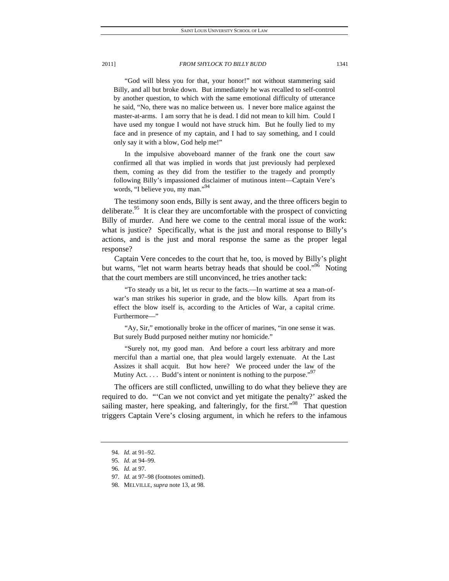"God will bless you for that, your honor!" not without stammering said Billy, and all but broke down. But immediately he was recalled to self-control by another question, to which with the same emotional difficulty of utterance he said, "No, there was no malice between us. I never bore malice against the master-at-arms. I am sorry that he is dead. I did not mean to kill him. Could I have used my tongue I would not have struck him. But he foully lied to my face and in presence of my captain, and I had to say something, and I could only say it with a blow, God help me!"

 In the impulsive aboveboard manner of the frank one the court saw confirmed all that was implied in words that just previously had perplexed them, coming as they did from the testifier to the tragedy and promptly following Billy's impassioned disclaimer of mutinous intent—Captain Vere's words, "I believe you, my man."<sup>94</sup>

The testimony soon ends, Billy is sent away, and the three officers begin to deliberate.<sup>95</sup> It is clear they are uncomfortable with the prospect of convicting Billy of murder. And here we come to the central moral issue of the work: what is justice? Specifically, what is the just and moral response to Billy's actions, and is the just and moral response the same as the proper legal response?

Captain Vere concedes to the court that he, too, is moved by Billy's plight but warns, "let not warm hearts betray heads that should be cool."<sup>96</sup> Noting that the court members are still unconvinced, he tries another tack:

 "To steady us a bit, let us recur to the facts.—In wartime at sea a man-ofwar's man strikes his superior in grade, and the blow kills. Apart from its effect the blow itself is, according to the Articles of War, a capital crime. Furthermore—"

 "Ay, Sir," emotionally broke in the officer of marines, "in one sense it was. But surely Budd purposed neither mutiny nor homicide."

 "Surely not, my good man. And before a court less arbitrary and more merciful than a martial one, that plea would largely extenuate. At the Last Assizes it shall acquit. But how here? We proceed under the law of the Mutiny Act.  $\dots$  Budd's intent or nonintent is nothing to the purpose."<sup>97</sup>

The officers are still conflicted, unwilling to do what they believe they are required to do. "'Can we not convict and yet mitigate the penalty?' asked the sailing master, here speaking, and falteringly, for the first."<sup>98</sup> That question triggers Captain Vere's closing argument, in which he refers to the infamous

<sup>94</sup>*. Id.* at 91–92.

<sup>95</sup>*. Id.* at 94–99.

<sup>96</sup>*. Id.* at 97.

<sup>97</sup>*. Id.* at 97–98 (footnotes omitted).

 <sup>98.</sup> MELVILLE, *supra* note 13, at 98.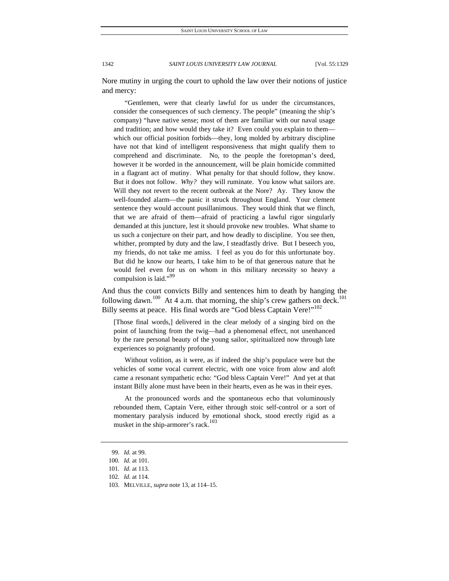Nore mutiny in urging the court to uphold the law over their notions of justice and mercy:

 "Gentlemen, were that clearly lawful for us under the circumstances, consider the consequences of such clemency. The people" (meaning the ship's company) "have native sense; most of them are familiar with our naval usage and tradition; and how would they take it? Even could you explain to them which our official position forbids—they, long molded by arbitrary discipline have not that kind of intelligent responsiveness that might qualify them to comprehend and discriminate. No, to the people the foretopman's deed, however it be worded in the announcement, will be plain homicide committed in a flagrant act of mutiny. What penalty for that should follow, they know. But it does not follow. *Why?* they will ruminate. You know what sailors are. Will they not revert to the recent outbreak at the Nore? Ay. They know the well-founded alarm—the panic it struck throughout England. Your clement sentence they would account pusillanimous. They would think that we flinch, that we are afraid of them—afraid of practicing a lawful rigor singularly demanded at this juncture, lest it should provoke new troubles. What shame to us such a conjecture on their part, and how deadly to discipline. You see then, whither, prompted by duty and the law, I steadfastly drive. But I beseech you, my friends, do not take me amiss. I feel as you do for this unfortunate boy. But did he know our hearts, I take him to be of that generous nature that he would feel even for us on whom in this military necessity so heavy a compulsion is laid."<sup>99</sup>

And thus the court convicts Billy and sentences him to death by hanging the following dawn.<sup>100</sup> At 4 a.m. that morning, the ship's crew gathers on deck.<sup>101</sup> Billy seems at peace. His final words are "God bless Captain Vere!"<sup>102</sup>

[Those final words,] delivered in the clear melody of a singing bird on the point of launching from the twig—had a phenomenal effect, not unenhanced by the rare personal beauty of the young sailor, spiritualized now through late experiences so poignantly profound.

 Without volition, as it were, as if indeed the ship's populace were but the vehicles of some vocal current electric, with one voice from alow and aloft came a resonant sympathetic echo: "God bless Captain Vere!" And yet at that instant Billy alone must have been in their hearts, even as he was in their eyes.

 At the pronounced words and the spontaneous echo that voluminously rebounded them, Captain Vere, either through stoic self-control or a sort of momentary paralysis induced by emotional shock, stood erectly rigid as a musket in the ship-armorer's rack.<sup>103</sup>

<sup>99</sup>*. Id.* at 99.

<sup>100</sup>*. Id.* at 101.

<sup>101</sup>*. Id.* at 113.

<sup>102</sup>*. Id.* at 114.

 <sup>103.</sup> MELVILLE, *supra* note 13, at 114–15.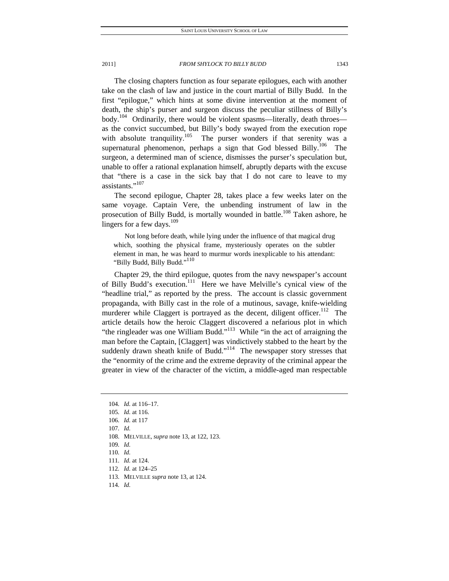The closing chapters function as four separate epilogues, each with another take on the clash of law and justice in the court martial of Billy Budd. In the first "epilogue," which hints at some divine intervention at the moment of death, the ship's purser and surgeon discuss the peculiar stillness of Billy's body.<sup>104</sup> Ordinarily, there would be violent spasms—literally, death throes as the convict succumbed, but Billy's body swayed from the execution rope with absolute tranquility.<sup>105</sup> The purser wonders if that serenity was a supernatural phenomenon, perhaps a sign that God blessed Billy.<sup>106</sup> The surgeon, a determined man of science, dismisses the purser's speculation but, unable to offer a rational explanation himself, abruptly departs with the excuse that "there is a case in the sick bay that I do not care to leave to my assistants."<sup>107</sup>

The second epilogue, Chapter 28, takes place a few weeks later on the same voyage. Captain Vere, the unbending instrument of law in the prosecution of Billy Budd, is mortally wounded in battle.<sup>108</sup> Taken ashore, he lingers for a few days. $109$ 

 Not long before death, while lying under the influence of that magical drug which, soothing the physical frame, mysteriously operates on the subtler element in man, he was heard to murmur words inexplicable to his attendant: "Billy Budd, Billy Budd."<sup>110</sup>

Chapter 29, the third epilogue, quotes from the navy newspaper's account of Billy Budd's execution.<sup>111</sup> Here we have Melville's cynical view of the "headline trial," as reported by the press. The account is classic government propaganda, with Billy cast in the role of a mutinous, savage, knife-wielding murderer while Claggert is portrayed as the decent, diligent officer.<sup>112</sup> The article details how the heroic Claggert discovered a nefarious plot in which "the ringleader was one William Budd."<sup>113</sup> While "in the act of arraigning the man before the Captain, [Claggert] was vindictively stabbed to the heart by the suddenly drawn sheath knife of Budd." $114$  The newspaper story stresses that the "enormity of the crime and the extreme depravity of the criminal appear the greater in view of the character of the victim, a middle-aged man respectable

- 108. MELVILLE, *supra* note 13, at 122, 123.
- 109*. Id.*
- 110*. Id.*
- 111*. Id.* at 124.
- 112*. Id.* at 124–25

114*. Id.*

<sup>104</sup>*. Id.* at 116–17.

<sup>105</sup>*. Id.* at 116.

<sup>106</sup>*. Id.* at 117

<sup>107</sup>*. Id.*

 <sup>113.</sup> MELVILLE *supra* note 13, at 124.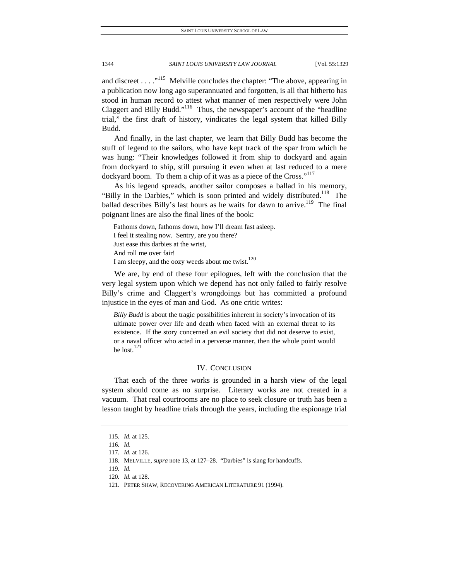and discreet . . .  $\cdot$ <sup>115</sup> Melville concludes the chapter: "The above, appearing in a publication now long ago superannuated and forgotten, is all that hitherto has stood in human record to attest what manner of men respectively were John Claggert and Billy Budd."<sup>116</sup> Thus, the newspaper's account of the "headline" trial," the first draft of history, vindicates the legal system that killed Billy Budd.

And finally, in the last chapter, we learn that Billy Budd has become the stuff of legend to the sailors, who have kept track of the spar from which he was hung: "Their knowledges followed it from ship to dockyard and again from dockyard to ship, still pursuing it even when at last reduced to a mere dockyard boom. To them a chip of it was as a piece of the Cross."<sup>117</sup>

As his legend spreads, another sailor composes a ballad in his memory, "Billy in the Darbies," which is soon printed and widely distributed.<sup>118</sup> The ballad describes Billy's last hours as he waits for dawn to arrive.<sup>119</sup> The final poignant lines are also the final lines of the book:

Fathoms down, fathoms down, how I'll dream fast asleep. I feel it stealing now. Sentry, are you there? Just ease this darbies at the wrist, And roll me over fair! I am sleepy, and the oozy weeds about me twist.<sup>120</sup>

We are, by end of these four epilogues, left with the conclusion that the very legal system upon which we depend has not only failed to fairly resolve Billy's crime and Claggert's wrongdoings but has committed a profound injustice in the eyes of man and God. As one critic writes:

*Billy Budd* is about the tragic possibilities inherent in society's invocation of its ultimate power over life and death when faced with an external threat to its existence. If the story concerned an evil society that did not deserve to exist, or a naval officer who acted in a perverse manner, then the whole point would be lost.<sup>121</sup>

### IV. CONCLUSION

That each of the three works is grounded in a harsh view of the legal system should come as no surprise. Literary works are not created in a vacuum. That real courtrooms are no place to seek closure or truth has been a lesson taught by headline trials through the years, including the espionage trial

<sup>115</sup>*. Id.* at 125.

<sup>116</sup>*. Id.*

<sup>117</sup>*. Id.* at 126.

 <sup>118.</sup> MELVILLE, *supra* note 13, at 127–28. "Darbies" is slang for handcuffs.

<sup>119</sup>*. Id.*

<sup>120</sup>*. Id.* at 128.

 <sup>121.</sup> PETER SHAW, RECOVERING AMERICAN LITERATURE 91 (1994).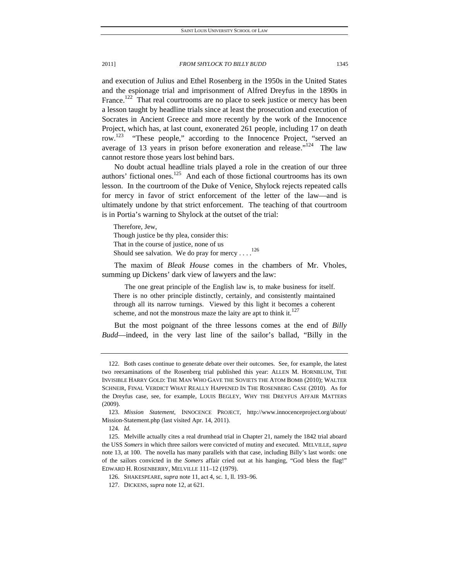and execution of Julius and Ethel Rosenberg in the 1950s in the United States and the espionage trial and imprisonment of Alfred Dreyfus in the 1890s in France.<sup>122</sup> That real courtrooms are no place to seek justice or mercy has been a lesson taught by headline trials since at least the prosecution and execution of Socrates in Ancient Greece and more recently by the work of the Innocence Project, which has, at last count, exonerated 261 people, including 17 on death row.<sup>123</sup> "These people," according to the Innocence Project, "served an average of 13 years in prison before exoneration and release."<sup>124</sup> The law cannot restore those years lost behind bars.

No doubt actual headline trials played a role in the creation of our three authors' fictional ones.<sup>125</sup> And each of those fictional courtrooms has its own lesson. In the courtroom of the Duke of Venice, Shylock rejects repeated calls for mercy in favor of strict enforcement of the letter of the law—and is ultimately undone by that strict enforcement. The teaching of that courtroom is in Portia's warning to Shylock at the outset of the trial:

Therefore, Jew, Though justice be thy plea, consider this: That in the course of justice, none of us Should see salvation. We do pray for mercy . . . .<sup>126</sup>

The maxim of *Bleak House* comes in the chambers of Mr. Vholes, summing up Dickens' dark view of lawyers and the law:

 The one great principle of the English law is, to make business for itself. There is no other principle distinctly, certainly, and consistently maintained through all its narrow turnings. Viewed by this light it becomes a coherent scheme, and not the monstrous maze the laity are apt to think it. $127$ 

But the most poignant of the three lessons comes at the end of *Billy Budd*—indeed, in the very last line of the sailor's ballad, "Billy in the

 <sup>122.</sup> Both cases continue to generate debate over their outcomes. See, for example, the latest two reexaminations of the Rosenberg trial published this year: ALLEN M. HORNBLUM, THE INVISIBLE HARRY GOLD: THE MAN WHO GAVE THE SOVIETS THE ATOM BOMB (2010); WALTER SCHNEIR, FINAL VERDICT WHAT REALLY HAPPENED IN THE ROSENBERG CASE (2010). As for the Dreyfus case, see, for example, LOUIS BEGLEY, WHY THE DREYFUS AFFAIR MATTERS (2009).

<sup>123</sup>*. Mission Statement*, INNOCENCE PROJECT, http://www.innocenceproject.org/about/ Mission-Statement.php (last visited Apr. 14, 2011).

<sup>124</sup>*. Id.*

 <sup>125.</sup> Melville actually cites a real drumhead trial in Chapter 21, namely the 1842 trial aboard the USS *Somers* in which three sailors were convicted of mutiny and executed. MELVILLE, *supra*  note 13, at 100. The novella has many parallels with that case, including Billy's last words: one of the sailors convicted in the *Somers* affair cried out at his hanging, "God bless the flag!" EDWARD H. ROSENBERRY, MELVILLE 111–12 (1979).

 <sup>126.</sup> SHAKESPEARE, *supra* note 11, act 4, sc. 1, ll. 193–96.

 <sup>127.</sup> DICKENS, *supra* note 12, at 621.